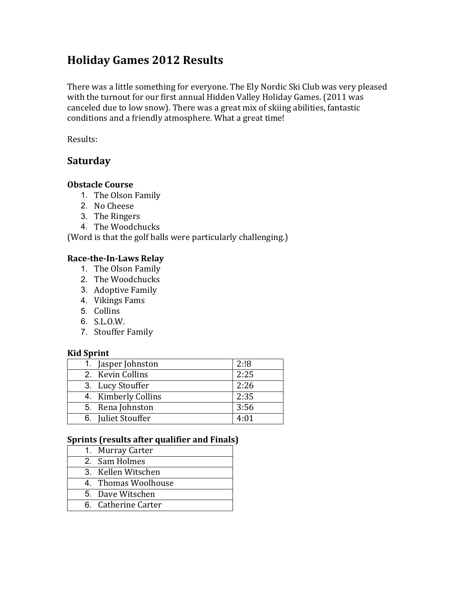# **Holiday Games 2012 Results**

There was a little something for everyone. The Ely Nordic Ski Club was very pleased with the turnout for our first annual Hidden Valley Holiday Games. (2011 was canceled due to low snow). There was a great mix of skiing abilities, fantastic conditions and a friendly atmosphere. What a great time!

Results:

# **Saturday**

### **Obstacle Course**

- 1. The Olson Family
- 2. No Cheese
- 3. The Ringers
- 4. The Woodchucks

(Word is that the golf balls were particularly challenging.)

# **Race-the-In-Laws Relay**

- 1. The Olson Family
- 2. The Woodchucks
- 3. Adoptive Family
- 4. Vikings Fams
- 5. Collins
- 6. S.L.O.W.
- 7. Stouffer Family

### **Kid Sprint**

| 1. Jasper Johnston  | 2:18 |
|---------------------|------|
| 2. Kevin Collins    | 2:25 |
| 3. Lucy Stouffer    | 2:26 |
| 4. Kimberly Collins | 2:35 |
| 5. Rena Johnston    | 3:56 |
| 6. Juliet Stouffer  | 4:01 |

# **Sprints (results after qualifier and Finals)**

| 1. Murray Carter    |
|---------------------|
| 2. Sam Holmes       |
| 3. Kellen Witschen  |
| 4. Thomas Woolhouse |
| 5. Dave Witschen    |
| 6. Catherine Carter |